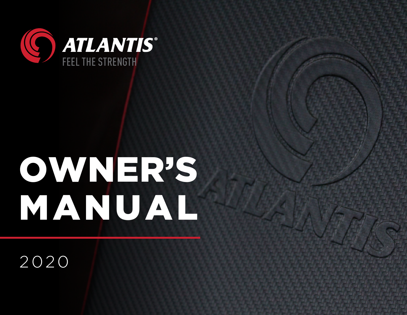

# OWNER'S MANUAL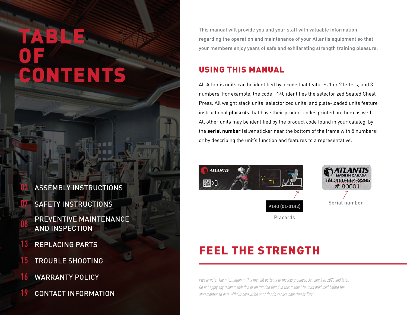## TABLE OF CONTENTS

#### **03** ASSEMBLY INSTRUCTIONS

- **07** SAFETY INSTRUCTIONS
- **08** PREVENTIVE MAINTENANCE AND INSPECTION
- **13** REPLACING PARTS
- **15** TROUBLE SHOOTING
- **16** WARRANTY POLICY
- 19 **19** CONTACT INFORMATION

This manual will provide you and your staff with valuable information regarding the operation and maintenance of your Atlantis equipment so that your members enjoy years of safe and exhilarating strength training pleasure.

### USING THIS MANUAL

All Atlantis units can be identified by a code that features 1 or 2 letters, and 3 numbers. For example, the code P140 identifies the selectorized Seated Chest Press. All weight stack units (selectorized units) and plate-loaded units feature instructional **placards** that have their product codes printed on them as well. All other units may be identified by the product code found in your catalog, by the **serial number** (silver sticker near the bottom of the frame with 5 numbers) or by describing the unit's function and features to a representative.





Placards

## FEEL THE STRENGTH

Please note: The information in this manual pertains to models produced January 1st, 2020 and later. Do not apply any recommendation or instruction found in this manual to units produced before the aforementioned date without consulting our Atlantis service department first.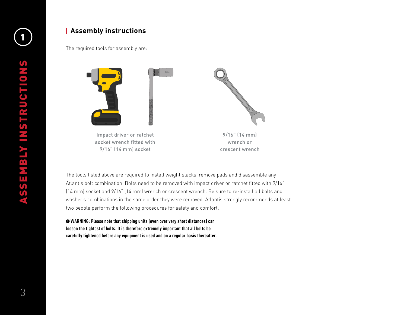#### <sup>1</sup> **Assembly instructions**

The required tools for assembly are:



socket wrench fitted with 9/16" (14 mm) socket

9/16" (14 mm) wrench or crescent wrench

The tools listed above are required to install weight stacks, remove pads and disassemble any Atlantis bolt combination. Bolts need to be removed with impact driver or ratchet fitted with 9/16" (14 mm) socket and 9/16" (14 mm) wrench or crescent wrench. Be sure to re-install all bolts and washer's combinations in the same order they were removed. Atlantis strongly recommends at least two people perform the following procedures for safety and comfort.

 **WARNING: Please note that shipping units (even over very short distances) can loosen the tightest of bolts. It is therefore extremely important that all bolts be carefully tightened before any equipment is used and on a regular basis thereafter.**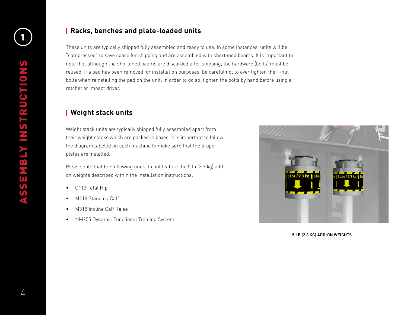#### **Racks, benches and plate-loaded units**

These units are typically shipped fully assembled and ready to use. In some instances, units will be "compressed" to save space for shipping and are assembled with shortened beams. It is important to note that although the shortened beams are discarded after shipping, the hardware (bolts) must be reused. If a pad has been removed for installation purposes, be careful not to over tighten the T-nut bolts when reinstalling the pad on the unit. In order to do so, tighten the bolts by hand before using a ratchet or impact driver.

#### **Weight stack units**

Weight stack units are typically shipped fully assembled apart from their weight stacks which are packed in boxes. It is important to follow the diagram labeled on each machine to make sure that the proper plates are installed.

Please note that the following units do not feature the 5 lb (2.3 kg) addon weights described within the installation instructions:

- C113 Total Hip
- M118 Standing Calf
- M318 Incline Calf Raise
- NM205 Dynamic Functional Training System



**5 LB (2.3 KG) ADD-ON WEIGHTS**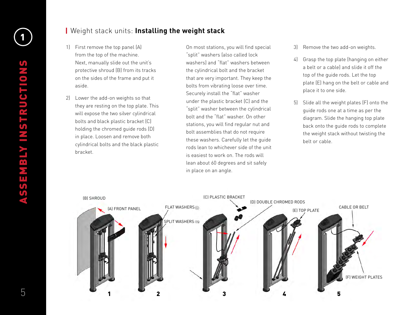#### <sup>1</sup> Weight stack units: **Installing the weight stack**

- 1) First remove the top panel (A) from the top of the machine. Next, manually slide out the unit's protective shroud (B) from its tracks on the sides of the frame and put it aside.
- 2) Lower the add-on weights so that they are resting on the top plate. This will expose the two silver cylindrical bolts and black plastic bracket (C) holding the chromed guide rods (D) in place. Loosen and remove both cylindrical bolts and the black plastic bracket.

On most stations, you will find special "split" washers (also called lock washers) and "flat" washers between the cylindrical bolt and the bracket that are very important. They keep the bolts from vibrating loose over time. Securely install the "flat" washer under the plastic bracket (C) and the "split" washer between the cylindrical bolt and the "flat" washer. On other stations, you will find regular nut and bolt assemblies that do not require these washers. Carefully let the guide rods lean to whichever side of the unit is easiest to work on. The rods will lean about 60 degrees and sit safely in place on an angle.

- 3) Remove the two add-on weights.
- 4) Grasp the top plate (hanging on either a belt or a cable) and slide it off the top of the guide rods. Let the top plate (E) hang on the belt or cable and place it to one side.
- 5) Slide all the weight plates (F) onto the guide rods one at a time as per the diagram. Slide the hanging top plate back onto the guide rods to complete the weight stack without twisting the belt or cable.

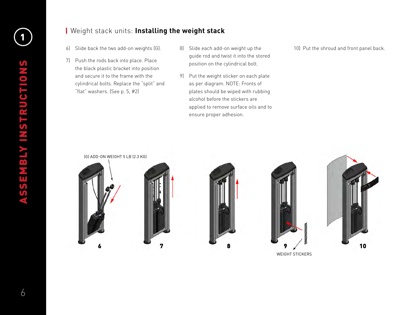#### <sup>1</sup> Weight stack units: **Installing the weight stack**

- 6) Slide back the two add-on weights (G).
- 7) Push the rods back into place. Place the black plastic bracket into position and secure it to the frame with the cylindrical bolts. Replace the "split" and "flat" washers. (See p. 5, #2)
- 8) Slide each add-on weight up the guide rod and twist it into the stored position on the cylindrical bolt.
- 9) Put the weight sticker on each plate as per diagram. NOTE: Fronts of plates should be wiped with rubbing alcohol before the stickers are applied to remove surface oils and to ensure proper adhesion.

10) Put the shroud and front panel back.

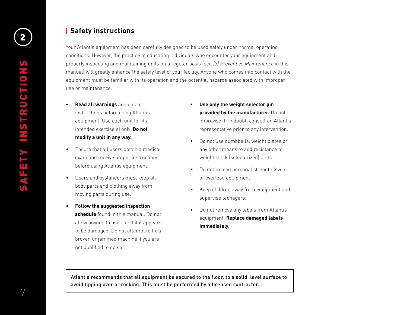#### **Safety instructions**

Your Atlantis equipment has been carefully designed to be used safely under normal operating conditions. However, the practice of educating individuals who encounter your equipment and properly inspecting and maintaining units on a regular basis (see (3) Preventive Maintenance in this manual) will greatly enhance the safety level of your facility. Anyone who comes into contact with the equipment must be familiar with its operation and the potential hazards associated with improper use or maintenance.

- **• Read all warnings** and obtain instructions before using Atlantis equipment. Use each unit for its intended exercise(s) only. **Do not modify a unit in any way.**
- Ensure that all users obtain a medical exam and receive proper instructions before using Atlantis equipment.
- Users and bystanders must keep all body parts and clothing away from moving parts during use.
- **• Follow the suggested inspection schedule** found in this manual. Do not allow anyone to use a unit if it appears to be damaged. Do not attempt to fix a broken or jammed machine if you are not qualified to do so.
- **• Use only the weight selector pin provided by the manufacturer.** Do not improvise. If in doubt, consult an Atlantis representative prior to any intervention.
- Do not use dumbbells, weight plates or any other means to add resistance to weight stack (selectorized) units.
- Do not exceed personal strength levels or overload equipment.
- Keep children away from equipment and supervise teenagers.
- Do not remove any labels from Atlantis equipment. **Replace damaged labels immediately.**

Atlantis recommends that all equipment be secured to the floor, to a solid, level surface to avoid tipping over or rocking. This must be performed by a licensed contractor.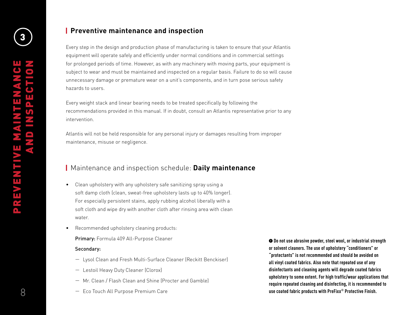#### **Preventive maintenance and inspection**

Every step in the design and production phase of manufacturing is taken to ensure that your Atlantis equipment will operate safely and efficiently under normal conditions and in commercial settings for prolonged periods of time. However, as with any machinery with moving parts, your equipment is subject to wear and must be maintained and inspected on a regular basis. Failure to do so will cause unnecessary damage or premature wear on a unit's components, and in turn pose serious safety hazards to users.

Every weight stack and linear bearing needs to be treated specifically by following the recommendations provided in this manual. If in doubt, consult an Atlantis representative prior to any intervention.

Atlantis will not be held responsible for any personal injury or damages resulting from improper maintenance, misuse or negligence.

#### Maintenance and inspection schedule: **Daily maintenance**

- Clean upholstery with any upholstery safe sanitizing spray using a soft damp cloth (clean, sweat-free upholstery lasts up to 40% longer). For especially persistent stains, apply rubbing alcohol liberally with a soft cloth and wipe dry with another cloth after rinsing area with clean water.
- Recommended upholstery cleaning products:

Primary: Formula 409 All-Purpose Cleaner

#### Secondary:

- Lysol Clean and Fresh Multi-Surface Cleaner (Reckitt Benckiser)
- Lestoil Heavy Duty Cleaner (Clorox)
- Mr. Clean / Flash Clean and Shine (Procter and Gamble)
- Eco Touch All Purpose Premium Care

 **Do not use abrasive powder, steel wool, or industrial strength or solvent cleaners. The use of upholstery "conditioners" or "protectants" is not recommended and should be avoided on all vinyl coated fabrics. Also note that repeated use of any disinfectants and cleaning agents will degrade coated fabrics upholstery to some extent. For high traffic/wear applications that require repeated cleaning and disinfecting, it is recommended to use coated fabric products with PreFixx® Protective Finish.**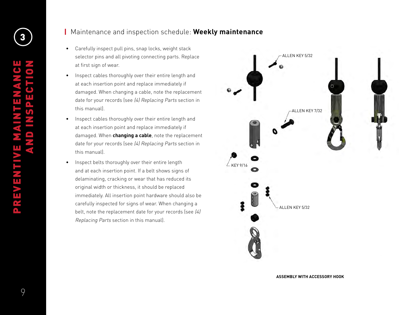3

#### Maintenance and inspection schedule: **Weekly maintenance**

- Carefully inspect pull pins, snap locks, weight stack selector pins and all pivoting connecting parts. Replace at first sign of wear.
- Inspect cables thoroughly over their entire length and at each insertion point and replace immediately if damaged. When changing a cable, note the replacement date for your records (see (4) Replacing Parts section in this manual).
- Inspect cables thoroughly over their entire length and at each insertion point and replace immediately if damaged. When **changing a cable**, note the replacement date for your records (see (4) Replacing Parts section in this manual).
- Inspect belts thoroughly over their entire length and at each insertion point. If a belt shows signs of delaminating, cracking or wear that has reduced its original width or thickness, it should be replaced immediately. All insertion point hardware should also be carefully inspected for signs of wear. When changing a belt, note the replacement date for your records (see (4) Replacing Parts section in this manual).



**ASSEMBLY WITH ACCESSORY HOOK**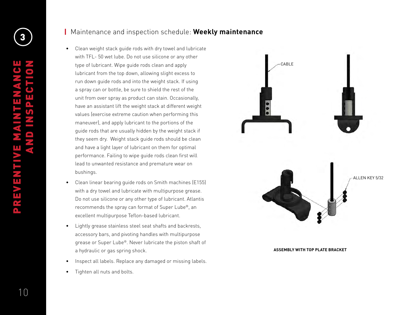#### Maintenance and inspection schedule: **Weekly maintenance**

- Clean weight stack guide rods with dry towel and lubricate with TFL- 50 wet lube. Do not use silicone or any other type of lubricant. Wipe guide rods clean and apply lubricant from the top down, allowing slight excess to run down guide rods and into the weight stack. If using a spray can or bottle, be sure to shield the rest of the unit from over spray as product can stain. Occasionally, have an assistant lift the weight stack at different weight values (exercise extreme caution when performing this maneuver), and apply lubricant to the portions of the guide rods that are usually hidden by the weight stack if they seem dry. Weight stack guide rods should be clean and have a light layer of lubricant on them for optimal performance. Failing to wipe guide rods clean first will lead to unwanted resistance and premature wear on bushings.
- Clean linear bearing guide rods on Smith machines (E155) with a dry towel and lubricate with multipurpose grease. Do not use silicone or any other type of lubricant. Atlantis recommends the spray can format of Super Lube®, an excellent multipurpose Teflon-based lubricant.
- Lightly grease stainless steel seat shafts and backrests, accessory bars, and pivoting handles with multipurpose grease or Super Lube®. Never lubricate the piston shaft of a hydraulic or gas spring shock.
- Inspect all labels. Replace any damaged or missing labels.
- Tighten all nuts and bolts.



**ASSEMBLY WITH TOP PLATE BRACKET**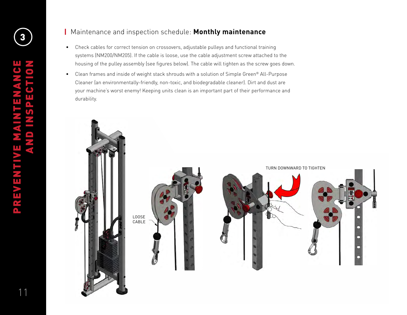#### Maintenance and inspection schedule: **Monthly maintenance**

- Check cables for correct tension on crossovers, adjustable pulleys and functional training systems (NM200/NM205). If the cable is loose, use the cable adjustment screw attached to the housing of the pulley assembly (see figures below). The cable will tighten as the screw goes down.
- Clean frames and inside of weight stack shrouds with a solution of Simple Green® All-Purpose Cleaner (an environmentally-friendly, non-toxic, and biodegradable cleaner). Dirt and dust are your machine's worst enemy! Keeping units clean is an important part of their performance and durability.

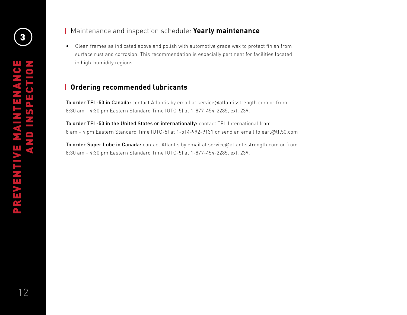#### Maintenance and inspection schedule: **Yearly maintenance**

• Clean frames as indicated above and polish with automotive grade wax to protect finish from surface rust and corrosion. This recommendation is especially pertinent for facilities located in high-humidity regions.

#### **Ordering recommended lubricants**

To order TFL-50 in Canada: contact Atlantis by email at service@atlantisstrength.com or from 8:30 am - 4:30 pm Eastern Standard Time (UTC-5) at 1-877-454-2285, ext. 239.

To order TFL-50 in the United States or internationally: contact TFL International from 8 am - 4 pm Eastern Standard Time (UTC-5) at 1-514-992-9131 or send an email to earl@tfl50.com

To order Super Lube in Canada: contact Atlantis by email at service@atlantisstrength.com or from 8:30 am - 4:30 pm Eastern Standard Time (UTC-5) at 1-877-454-2285, ext. 239.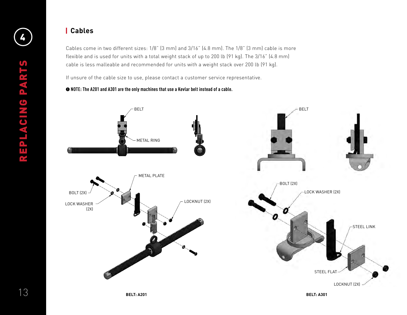#### **Cables**

Cables come in two different sizes: 1/8" (3 mm) and 3/16" (4.8 mm). The 1/8" (3 mm) cable is more flexible and is used for units with a total weight stack of up to 200 lb (91 kg). The 3/16" (4.8 mm) cable is less malleable and recommended for units with a weight stack over 200 lb (91 kg).

If unsure of the cable size to use, please contact a customer service representative.

#### **NOTE: The A201 and A301 are the only machines that use a Kevlar belt instead of a cable.**

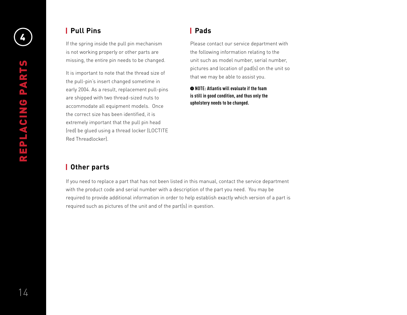#### **Pull Pins Pads**

If the spring inside the pull pin mechanism is not working properly or other parts are missing, the entire pin needs to be changed.

It is important to note that the thread size of the pull-pin's insert changed sometime in early 2004. As a result, replacement pull-pins are shipped with two thread-sized nuts to accommodate all equipment models. Once the correct size has been identified, it is extremely important that the pull pin head (red) be glued using a thread locker (LOCTITE Red Threadlocker).

Please contact our service department with the following information relating to the unit such as model number, serial number, pictures and location of pad(s) on the unit so that we may be able to assist you.

**NOTE: Atlantis will evaluate if the foam is still in good condition, and thus only the upholstery needs to be changed.** 

#### **Other parts**

If you need to replace a part that has not been listed in this manual, contact the service department with the product code and serial number with a description of the part you need. You may be required to provide additional information in order to help establish exactly which version of a part is required such as pictures of the unit and of the part(s) in question.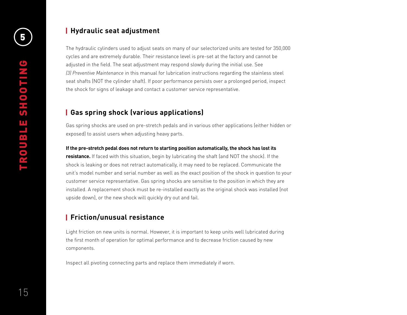## **f Hydraulic seat adjustment**

The hydraulic cylinders used to adjust seats on many of our selectorized units are tested for 350,000 cycles and are extremely durable. Their resistance level is pre-set at the factory and cannot be adjusted in the field. The seat adjustment may respond slowly during the initial use. See *(3) Preventive Maintenance* in this manual for lubrication instructions regarding the stainless steel seat shafts (NOT the cylinder shaft). If poor performance persists over a prolonged period, inspect the shock for signs of leakage and contact a customer service representative.

#### **Gas spring shock (various applications)**

Gas spring shocks are used on pre-stretch pedals and in various other applications (either hidden or exposed) to assist users when adjusting heavy parts.

#### **If the pre-stretch pedal does not return to starting position automatically, the shock has lost its**

**resistance.** If faced with this situation, begin by lubricating the shaft (and NOT the shock). If the shock is leaking or does not retract automatically, it may need to be replaced. Communicate the unit's model number and serial number as well as the exact position of the shock in question to your customer service representative. Gas spring shocks are sensitive to the position in which they are installed. A replacement shock must be re-installed exactly as the original shock was installed (not upside down), or the new shock will quickly dry out and fail.

#### **Friction/unusual resistance**

Light friction on new units is normal. However, it is important to keep units well lubricated during the first month of operation for optimal performance and to decrease friction caused by new components.

Inspect all pivoting connecting parts and replace them immediately if worn.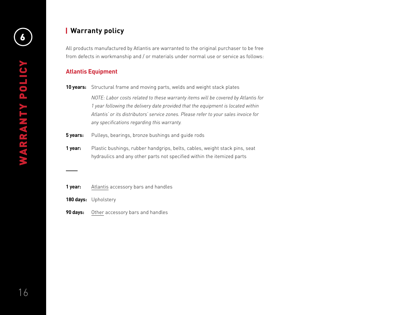## **6 Warranty policy**

All products manufactured by Atlantis are warranted to the original purchaser to be free from defects in workmanship and / or materials under normal use or service as follows:

#### **Atlantis Equipment**

**10 years:** Structural frame and moving parts, welds and weight stack plates

*NOTE: Labor costs related to these warranty items will be covered by Atlantis for 1 year following the delivery date provided that the equipment is located within Atlantis' or its distributors' service zones. Please refer to your sales invoice for any specifications regarding this warranty.*

- **5 years:** Pulleys, bearings, bronze bushings and quide rods
- **1 year:** Plastic bushings, rubber handgrips, belts, cables, weight stack pins, seat hydraulics and any other parts not specified within the itemized parts
- **1 year:** Atlantis accessory bars and handles
- **180 days:** Upholstery
- **90 days:** Other accessory bars and handles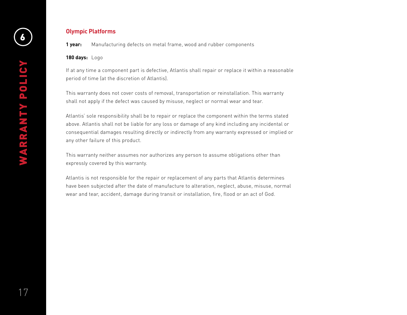## <sup>6</sup> **Olympic Platforms**

**1 year:** Manufacturing defects on metal frame, wood and rubber components

**180 days:** Logo

If at any time a component part is defective, Atlantis shall repair or replace it within a reasonable period of time (at the discretion of Atlantis).

This warranty does not cover costs of removal, transportation or reinstallation. This warranty shall not apply if the defect was caused by misuse, neglect or normal wear and tear.

Atlantis' sole responsibility shall be to repair or replace the component within the terms stated above. Atlantis shall not be liable for any loss or damage of any kind including any incidental or consequential damages resulting directly or indirectly from any warranty expressed or implied or any other failure of this product.

This warranty neither assumes nor authorizes any person to assume obligations other than expressly covered by this warranty.

Atlantis is not responsible for the repair or replacement of any parts that Atlantis determines have been subjected after the date of manufacture to alteration, neglect, abuse, misuse, normal wear and tear, accident, damage during transit or installation, fire, flood or an act of God.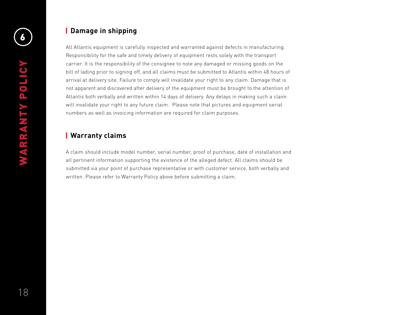## <sup>6</sup> **Damage in shipping**

All Atlantis equipment is carefully inspected and warranted against defects in manufacturing. Responsibility for the safe and timely delivery of equipment rests solely with the transport carrier. It is the responsibility of the consignee to note any damaged or missing goods on the bill of lading prior to signing off, and all claims must be submitted to Atlantis within 48 hours of arrival at delivery site. Failure to comply will invalidate your right to any claim. Damage that is not apparent and discovered after delivery of the equipment must be brought to the attention of Atlantis both verbally and written within 14 days of delivery. Any delays in making such a claim will invalidate your right to any future claim. Please note that pictures and equipment serial numbers as well as invoicing information are required for claim purposes.

#### **Warranty claims**

A claim should include model number, serial number, proof of purchase, date of installation and all pertinent information supporting the existence of the alleged defect. All claims should be submitted via your point of purchase representative or with customer service, both verbally and written. Please refer to Warranty Policy above before submitting a claim.